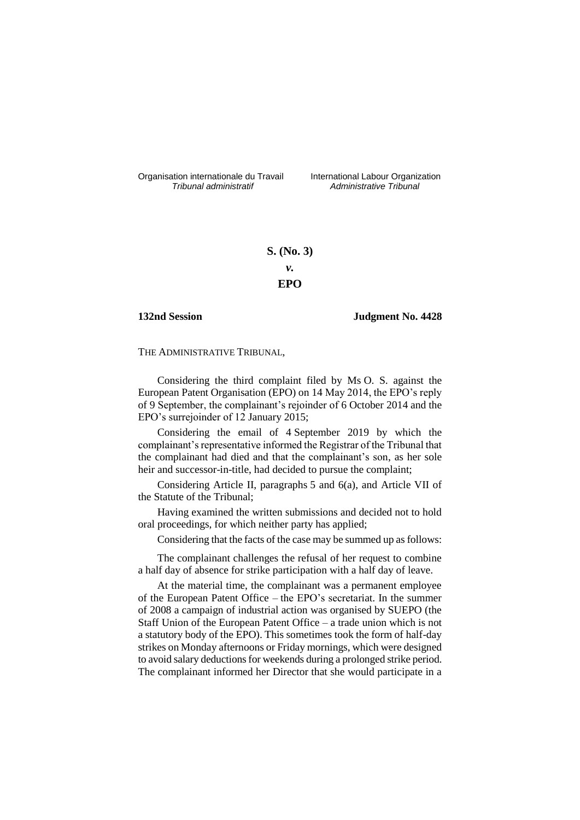Organisation internationale du Travail International Labour Organization<br>*Tribunal administratif Administrative Tribunal* 

*Tribunal administratif Administrative Tribunal*

# **S. (No. 3)** *v.* **EPO**

# **132nd Session Judgment No. 4428**

# THE ADMINISTRATIVE TRIBUNAL,

Considering the third complaint filed by Ms O. S. against the European Patent Organisation (EPO) on 14 May 2014, the EPO's reply of 9 September, the complainant's rejoinder of 6 October 2014 and the EPO's surrejoinder of 12 January 2015;

Considering the email of 4 September 2019 by which the complainant's representative informed the Registrar of the Tribunal that the complainant had died and that the complainant's son, as her sole heir and successor-in-title, had decided to pursue the complaint;

Considering Article II, paragraphs 5 and 6(a), and Article VII of the Statute of the Tribunal;

Having examined the written submissions and decided not to hold oral proceedings, for which neither party has applied;

Considering that the facts of the case may be summed up as follows:

The complainant challenges the refusal of her request to combine a half day of absence for strike participation with a half day of leave.

At the material time, the complainant was a permanent employee of the European Patent Office – the EPO's secretariat. In the summer of 2008 a campaign of industrial action was organised by SUEPO (the Staff Union of the European Patent Office – a trade union which is not a statutory body of the EPO). This sometimes took the form of half-day strikes on Monday afternoons or Friday mornings, which were designed to avoid salary deductions for weekends during a prolonged strike period. The complainant informed her Director that she would participate in a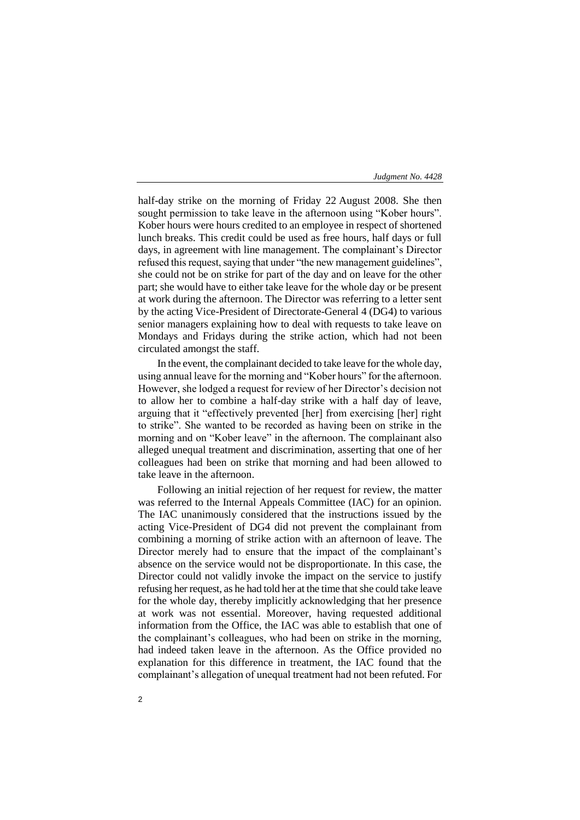half-day strike on the morning of Friday 22 August 2008. She then sought permission to take leave in the afternoon using "Kober hours". Kober hours were hours credited to an employee in respect of shortened lunch breaks. This credit could be used as free hours, half days or full days, in agreement with line management. The complainant's Director refused this request, saying that under "the new management guidelines", she could not be on strike for part of the day and on leave for the other part; she would have to either take leave for the whole day or be present at work during the afternoon. The Director was referring to a letter sent by the acting Vice-President of Directorate-General 4 (DG4) to various senior managers explaining how to deal with requests to take leave on Mondays and Fridays during the strike action, which had not been circulated amongst the staff.

In the event, the complainant decided to take leave for the whole day, using annual leave for the morning and "Kober hours" for the afternoon. However, she lodged a request for review of her Director's decision not to allow her to combine a half-day strike with a half day of leave, arguing that it "effectively prevented [her] from exercising [her] right to strike". She wanted to be recorded as having been on strike in the morning and on "Kober leave" in the afternoon. The complainant also alleged unequal treatment and discrimination, asserting that one of her colleagues had been on strike that morning and had been allowed to take leave in the afternoon.

Following an initial rejection of her request for review, the matter was referred to the Internal Appeals Committee (IAC) for an opinion. The IAC unanimously considered that the instructions issued by the acting Vice-President of DG4 did not prevent the complainant from combining a morning of strike action with an afternoon of leave. The Director merely had to ensure that the impact of the complainant's absence on the service would not be disproportionate. In this case, the Director could not validly invoke the impact on the service to justify refusing her request, as he had told her at the time that she could take leave for the whole day, thereby implicitly acknowledging that her presence at work was not essential. Moreover, having requested additional information from the Office, the IAC was able to establish that one of the complainant's colleagues, who had been on strike in the morning, had indeed taken leave in the afternoon. As the Office provided no explanation for this difference in treatment, the IAC found that the complainant's allegation of unequal treatment had not been refuted. For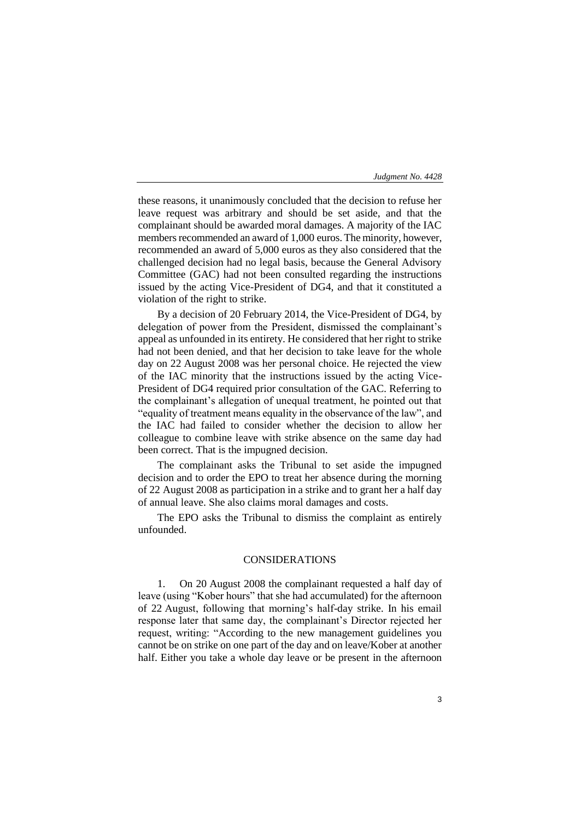these reasons, it unanimously concluded that the decision to refuse her leave request was arbitrary and should be set aside, and that the complainant should be awarded moral damages. A majority of the IAC members recommended an award of 1,000 euros. The minority, however, recommended an award of 5,000 euros as they also considered that the challenged decision had no legal basis, because the General Advisory Committee (GAC) had not been consulted regarding the instructions issued by the acting Vice-President of DG4, and that it constituted a violation of the right to strike.

By a decision of 20 February 2014, the Vice-President of DG4, by delegation of power from the President, dismissed the complainant's appeal as unfounded in its entirety. He considered that her right to strike had not been denied, and that her decision to take leave for the whole day on 22 August 2008 was her personal choice. He rejected the view of the IAC minority that the instructions issued by the acting Vice-President of DG4 required prior consultation of the GAC. Referring to the complainant's allegation of unequal treatment, he pointed out that "equality of treatment means equality in the observance of the law", and the IAC had failed to consider whether the decision to allow her colleague to combine leave with strike absence on the same day had been correct. That is the impugned decision.

The complainant asks the Tribunal to set aside the impugned decision and to order the EPO to treat her absence during the morning of 22 August 2008 as participation in a strike and to grant her a half day of annual leave. She also claims moral damages and costs.

The EPO asks the Tribunal to dismiss the complaint as entirely unfounded.

## CONSIDERATIONS

1. On 20 August 2008 the complainant requested a half day of leave (using "Kober hours" that she had accumulated) for the afternoon of 22 August, following that morning's half-day strike. In his email response later that same day, the complainant's Director rejected her request, writing: "According to the new management guidelines you cannot be on strike on one part of the day and on leave/Kober at another half. Either you take a whole day leave or be present in the afternoon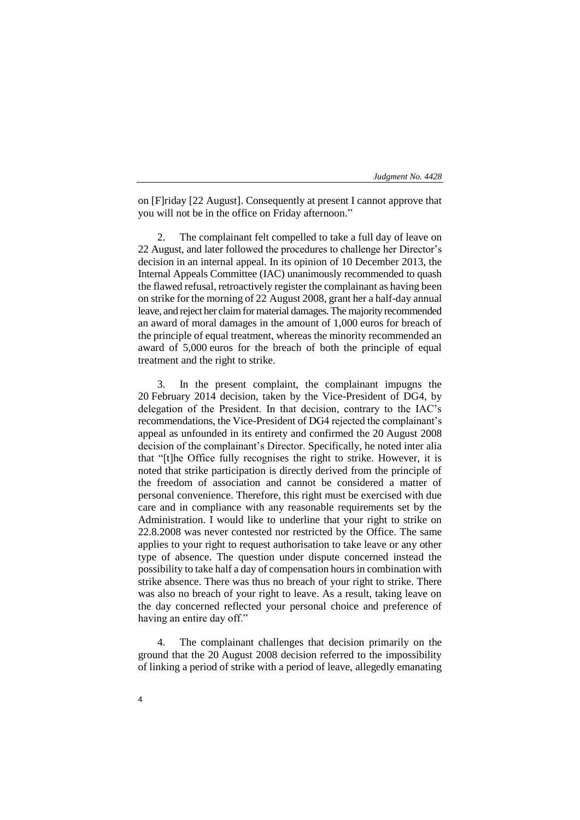on [F]riday [22 August]. Consequently at present I cannot approve that you will not be in the office on Friday afternoon."

The complainant felt compelled to take a full day of leave on 22 August, and later followed the procedures to challenge her Director's decision in an internal appeal. In its opinion of 10 December 2013, the Internal Appeals Committee (IAC) unanimously recommended to quash the flawed refusal, retroactively register the complainant as having been on strike for the morning of 22 August 2008, grant her a half-day annual leave, and reject her claim for material damages. The majority recommended an award of moral damages in the amount of 1,000 euros for breach of the principle of equal treatment, whereas the minority recommended an award of 5,000 euros for the breach of both the principle of equal treatment and the right to strike.

3. In the present complaint, the complainant impugns the 20 February 2014 decision, taken by the Vice-President of DG4, by delegation of the President. In that decision, contrary to the IAC's recommendations, the Vice-President of DG4 rejected the complainant's appeal as unfounded in its entirety and confirmed the 20 August 2008 decision of the complainant's Director. Specifically, he noted inter alia that "[t]he Office fully recognises the right to strike. However, it is noted that strike participation is directly derived from the principle of the freedom of association and cannot be considered a matter of personal convenience. Therefore, this right must be exercised with due care and in compliance with any reasonable requirements set by the Administration. I would like to underline that your right to strike on 22.8.2008 was never contested nor restricted by the Office. The same applies to your right to request authorisation to take leave or any other type of absence. The question under dispute concerned instead the possibility to take half a day of compensation hours in combination with strike absence. There was thus no breach of your right to strike. There was also no breach of your right to leave. As a result, taking leave on the day concerned reflected your personal choice and preference of having an entire day off."

4. The complainant challenges that decision primarily on the ground that the 20 August 2008 decision referred to the impossibility of linking a period of strike with a period of leave, allegedly emanating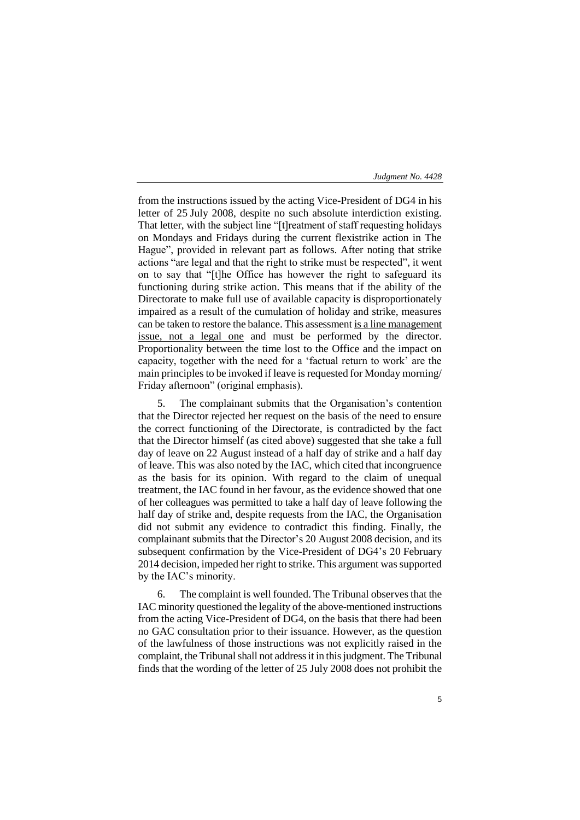from the instructions issued by the acting Vice-President of DG4 in his letter of 25 July 2008, despite no such absolute interdiction existing. That letter, with the subject line "[t]reatment of staff requesting holidays on Mondays and Fridays during the current flexistrike action in The Hague", provided in relevant part as follows. After noting that strike actions "are legal and that the right to strike must be respected", it went on to say that "[t]he Office has however the right to safeguard its functioning during strike action. This means that if the ability of the Directorate to make full use of available capacity is disproportionately impaired as a result of the cumulation of holiday and strike, measures can be taken to restore the balance. This assessment is a line management issue, not a legal one and must be performed by the director. Proportionality between the time lost to the Office and the impact on capacity, together with the need for a 'factual return to work' are the main principles to be invoked if leave is requested for Monday morning/ Friday afternoon" (original emphasis).

5. The complainant submits that the Organisation's contention that the Director rejected her request on the basis of the need to ensure the correct functioning of the Directorate, is contradicted by the fact that the Director himself (as cited above) suggested that she take a full day of leave on 22 August instead of a half day of strike and a half day of leave. This was also noted by the IAC, which cited that incongruence as the basis for its opinion. With regard to the claim of unequal treatment, the IAC found in her favour, as the evidence showed that one of her colleagues was permitted to take a half day of leave following the half day of strike and, despite requests from the IAC, the Organisation did not submit any evidence to contradict this finding. Finally, the complainant submits that the Director's 20 August 2008 decision, and its subsequent confirmation by the Vice-President of DG4's 20 February 2014 decision, impeded her right to strike. This argument was supported by the IAC's minority.

6. The complaint is well founded. The Tribunal observes that the IAC minority questioned the legality of the above-mentioned instructions from the acting Vice-President of DG4, on the basis that there had been no GAC consultation prior to their issuance. However, as the question of the lawfulness of those instructions was not explicitly raised in the complaint, the Tribunal shall not address it in this judgment. The Tribunal finds that the wording of the letter of 25 July 2008 does not prohibit the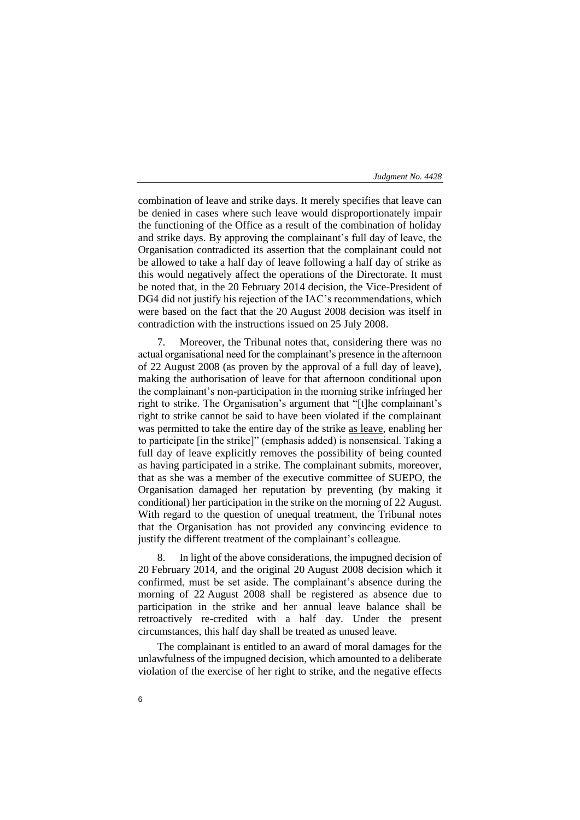combination of leave and strike days. It merely specifies that leave can be denied in cases where such leave would disproportionately impair the functioning of the Office as a result of the combination of holiday and strike days. By approving the complainant's full day of leave, the Organisation contradicted its assertion that the complainant could not be allowed to take a half day of leave following a half day of strike as this would negatively affect the operations of the Directorate. It must be noted that, in the 20 February 2014 decision, the Vice-President of DG4 did not justify his rejection of the IAC's recommendations, which were based on the fact that the 20 August 2008 decision was itself in contradiction with the instructions issued on 25 July 2008.

7. Moreover, the Tribunal notes that, considering there was no actual organisational need for the complainant's presence in the afternoon of 22 August 2008 (as proven by the approval of a full day of leave), making the authorisation of leave for that afternoon conditional upon the complainant's non-participation in the morning strike infringed her right to strike. The Organisation's argument that "[t]he complainant's right to strike cannot be said to have been violated if the complainant was permitted to take the entire day of the strike as leave, enabling her to participate [in the strike]" (emphasis added) is nonsensical. Taking a full day of leave explicitly removes the possibility of being counted as having participated in a strike. The complainant submits, moreover, that as she was a member of the executive committee of SUEPO, the Organisation damaged her reputation by preventing (by making it conditional) her participation in the strike on the morning of 22 August. With regard to the question of unequal treatment, the Tribunal notes that the Organisation has not provided any convincing evidence to justify the different treatment of the complainant's colleague.

8. In light of the above considerations, the impugned decision of 20 February 2014, and the original 20 August 2008 decision which it confirmed, must be set aside. The complainant's absence during the morning of 22 August 2008 shall be registered as absence due to participation in the strike and her annual leave balance shall be retroactively re-credited with a half day. Under the present circumstances, this half day shall be treated as unused leave.

The complainant is entitled to an award of moral damages for the unlawfulness of the impugned decision, which amounted to a deliberate violation of the exercise of her right to strike, and the negative effects